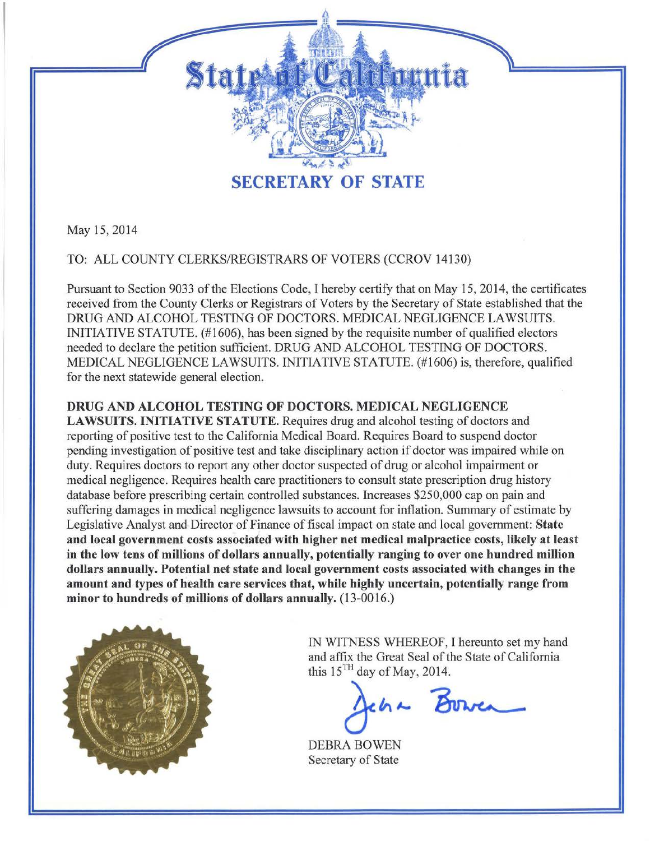

May 15,2014

TO: ALL COUNTY CLERKS/REGISTRARS OF VOTERS (CCROV 14130)

Pursuant to Section 9033 of the Elections Code, I hereby certify that on May 15, 2014, the certificates received from the County Clerks or Registrars of Voters by the Secretary of State established that the DRUG AND ALCOHOL TESTING OF DOCTORS. MEDICAL NEGLIGENCE LAWSUITS. INITIATIVE STATUTE. (#1606), has been signed by the requisite number of qualified electors needed to declare the petition sufficient. DRUG AND ALCOHOL TESTING OF DOCTORS. MEDICAL NEGLIGENCE LAWSUITS. INITIATIVE STATUTE. (#1606) is, therefore, qualified for the next statewide general election.

## DRUG AND ALCOHOL TESTING OF DOCTORS. MEDICAL NEGLIGENCE

LAWSUITS. INITIATIVE STATUTE. Requires drug and alcohol testing of doctors and reporting of positive test to the California Medical Board. Requires Board to suspend doctor pending investigation of positive test and take disciplinary action if doctor was impaired while on duty. Requires doctors to report any other doctor suspected of drug or alcohol impairment or medical negligence. Requires health care practitioners to consult state prescription drug history database before prescribing certain controlled substances. Increases \$250,000 cap on pain and suffering damages in medical negligence lawsuits to account for inflation. Summary of estimate by Legislative Analyst and Director of Finance of fiscal impact on state and local government: State and local government costs associated with higher net medical malpractice costs, likely at least in the low tens of millions of dollars annually, potentially ranging to over one hundred million dollars annually. Potential net state and local government costs associated with changes in the amount and types of health care services that, while highly uncertain, potentially range from minor to hundreds of millions of dollars annually. (13-0016.)



IN WITNESS WHEREOF, I hereunto set my hand and affix the Great Seal of the State of California this  $15<sup>TH</sup>$  day of May, 2014.

cha Bower

DEBRA BOWEN Secretary of State